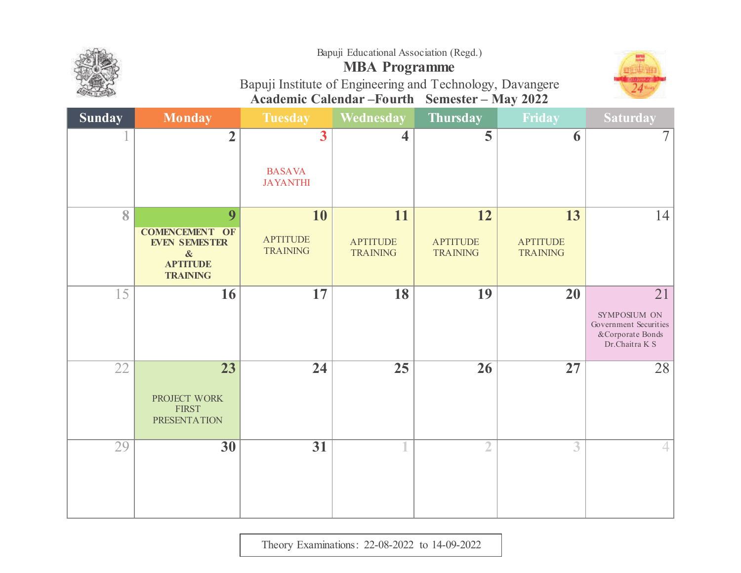

# **MBA Programme**



Bapuji Institute of Engineering and Technology, Davangere **Academic Calendar –Fourth Semester – May 2022**

| <b>Sunday</b> | <b>Monday</b>                                                                                                 | <b>Tuesday</b>                                              | Wednesday                                | <b>Thursday</b>                          | Friday                                   | <b>Saturday</b>                                                                    |
|---------------|---------------------------------------------------------------------------------------------------------------|-------------------------------------------------------------|------------------------------------------|------------------------------------------|------------------------------------------|------------------------------------------------------------------------------------|
|               | $\overline{2}$                                                                                                | $\overline{\mathbf{3}}$<br><b>BASAVA</b><br><b>JAYANTHI</b> | $\overline{\mathbf{4}}$                  | 5                                        | 6                                        | 7 <sup>1</sup>                                                                     |
| 8             | 9<br><b>COMENCEMENT OF</b><br><b>EVEN SEMESTER</b><br>$\boldsymbol{\&}$<br><b>APTITUDE</b><br><b>TRAINING</b> | 10<br><b>APTITUDE</b><br><b>TRAINING</b>                    | 11<br><b>APTITUDE</b><br><b>TRAINING</b> | 12<br><b>APTITUDE</b><br><b>TRAINING</b> | 13<br><b>APTITUDE</b><br><b>TRAINING</b> | 14                                                                                 |
| 15            | 16                                                                                                            | 17                                                          | 18                                       | 19                                       | 20                                       | 21<br>SYMPOSIUM ON<br>Government Securities<br>& Corporate Bonds<br>Dr.Chaitra K S |
| 22            | 23<br>PROJECT WORK<br><b>FIRST</b><br><b>PRESENTATION</b>                                                     | $\overline{24}$                                             | 25                                       | 26                                       | 27                                       | 28                                                                                 |
| 29            | 30                                                                                                            | $\overline{31}$                                             |                                          | $\overline{2}$                           | 3                                        |                                                                                    |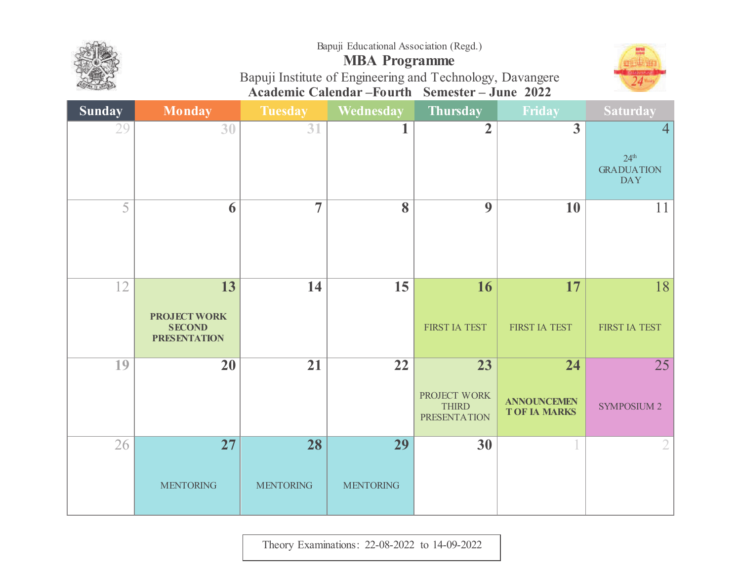

## **MBA Programme**



Bapuji Institute of Engineering and Technology, Davangere **Academic Calendar –Fourth Semester – June <sup>2022</sup>**

| <b>Sunday</b> | <b>Monday</b>                                                     | <b>Tuesday</b>         | Wednesday              | Thursday                                                               | Friday                                                       | <b>Saturday</b>                                           |
|---------------|-------------------------------------------------------------------|------------------------|------------------------|------------------------------------------------------------------------|--------------------------------------------------------------|-----------------------------------------------------------|
| 29            | 30                                                                | 31                     |                        | $\overline{2}$                                                         | $\overline{3}$                                               | 4 <br>24 <sup>th</sup><br><b>GRADUATION</b><br><b>DAY</b> |
| 5             | 6                                                                 | $\overline{7}$         | 8                      | 9                                                                      | <b>10</b>                                                    | 11                                                        |
| 12            | 13<br><b>PROJECT WORK</b><br><b>SECOND</b><br><b>PRESENTATION</b> | 14                     | 15                     | 16<br>FIRST IA TEST                                                    | 17<br>FIRST IA TEST                                          | 18<br>FIRST IA TEST                                       |
| 19            | $\overline{20}$                                                   | $\overline{21}$        | $\overline{22}$        | $\overline{23}$<br>PROJECT WORK<br><b>THIRD</b><br><b>PRESENTATION</b> | $\overline{24}$<br><b>ANNOUNCEMEN</b><br><b>TOF IA MARKS</b> | $\overline{25}$<br><b>SYMPOSIUM 2</b>                     |
| 26            | 27<br><b>MENTORING</b>                                            | 28<br><b>MENTORING</b> | 29<br><b>MENTORING</b> | 30                                                                     |                                                              | 2                                                         |

Theory Examinations: 22-08-2022 to 14-09-2022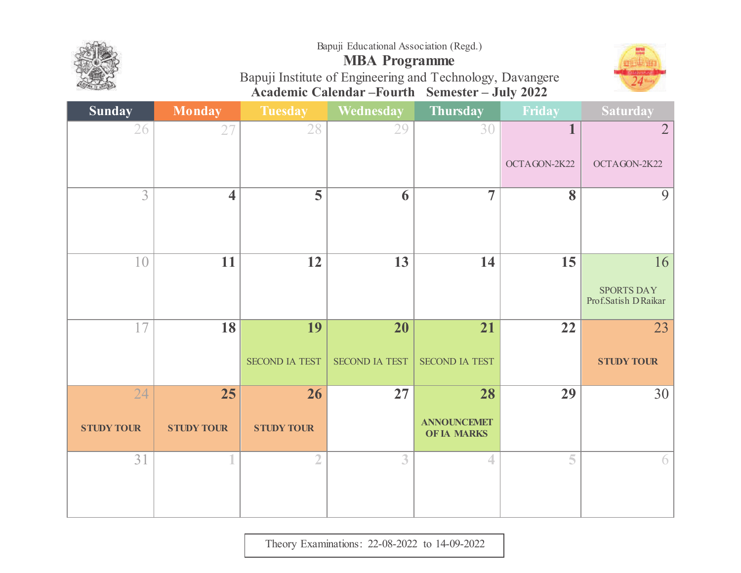







| <b>Sunday</b>           | <b>Monday</b>           | <b>Tuesday</b>              | <b>Wednesday</b>            | <b>Thursday</b>                                | Friday                  | <b>Saturday</b>                                 |
|-------------------------|-------------------------|-----------------------------|-----------------------------|------------------------------------------------|-------------------------|-------------------------------------------------|
| 26                      | 27                      | 28                          | 29                          | 30                                             | 1                       | $\overline{2}$                                  |
|                         |                         |                             |                             |                                                | OCTAGON-2K22            | OCTAGON-2K22                                    |
| 3                       | $\overline{\mathbf{4}}$ | $\overline{\mathbf{5}}$     | 6                           | $\overline{7}$                                 | $\overline{\mathbf{8}}$ | $\overline{9}$                                  |
| 10                      | 11                      | 12                          | 13                          | 14                                             | 15                      | 16<br><b>SPORTS DAY</b><br>Prof.Satish D Raikar |
| 17                      | 18                      | 19<br><b>SECOND IA TEST</b> | 20<br><b>SECOND IA TEST</b> | 21<br><b>SECOND IA TEST</b>                    | 22                      | 23<br><b>STUDY TOUR</b>                         |
| 24<br><b>STUDY TOUR</b> | 25<br><b>STUDY TOUR</b> | 26<br><b>STUDY TOUR</b>     | 27                          | 28<br><b>ANNOUNCEMET</b><br><b>OF IA MARKS</b> | 29                      | 30                                              |
| 31                      | 1                       | $\overline{2}$              | 3                           | $\overline{4}$                                 | 5                       | 6                                               |

Theory Examinations: 22-08-2022 to 14-09-2022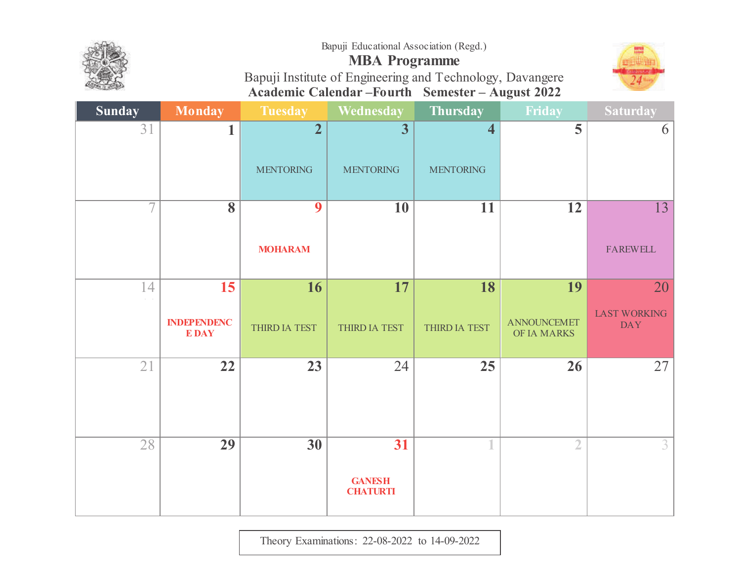





## **MBA Programme** Bapuji Institute of Engineering and Technology, Davangere**Academic Calendar –Fourth Semester – August <sup>2022</sup>**

| <b>Sunday</b>     | Monday                            | <b>Tuesday</b>   | <b>Wednesday</b>                       | <b>Thursday</b>  | Friday                            | <b>Saturday</b>                   |
|-------------------|-----------------------------------|------------------|----------------------------------------|------------------|-----------------------------------|-----------------------------------|
| 31                | 1                                 | $\overline{2}$   | $\overline{\mathbf{3}}$                | 4                | 5                                 | 6                                 |
|                   |                                   | <b>MENTORING</b> | <b>MENTORING</b>                       | <b>MENTORING</b> |                                   |                                   |
| $\overline{\tau}$ | $\overline{\mathbf{8}}$           | 9                | <b>10</b>                              | 11               | $\overline{12}$                   | $\overline{13}$                   |
|                   |                                   | <b>MOHARAM</b>   |                                        |                  |                                   | <b>FAREWELL</b>                   |
| 14                | 15                                | 16               | 17                                     | 18               | 19                                | 20                                |
|                   | <b>INDEPENDENC</b><br><b>EDAY</b> | THIRD IA TEST    | THIRD IA TEST                          | THIRD IA TEST    | <b>ANNOUNCEMET</b><br>OF IA MARKS | <b>LAST WORKING</b><br><b>DAY</b> |
| 21                | 22                                | 23               | 24                                     | 25               | 26                                | 27                                |
| $\overline{28}$   | 29                                | $\overline{30}$  | 31<br><b>GANESH</b><br><b>CHATURTI</b> |                  | $\overline{2}$                    | $\overline{3}$                    |

Theory Examinations: 22-08-2022 to 14-09-2022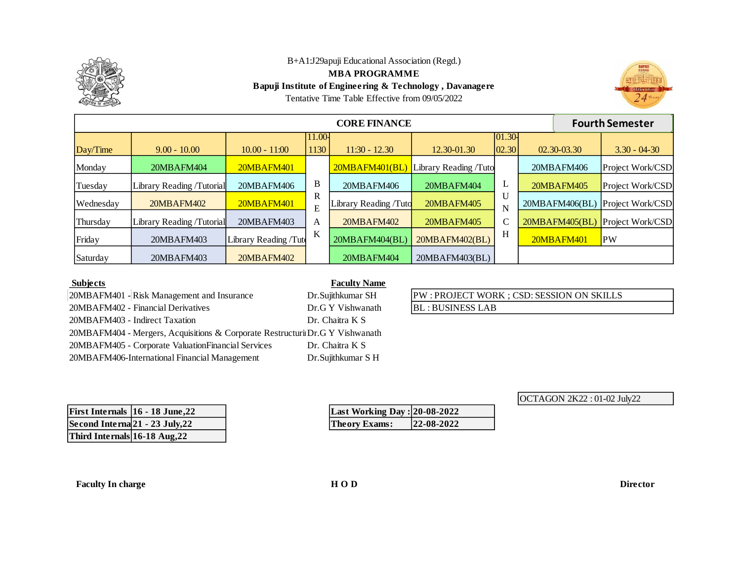

**MBA PROGRAMME**

**Bapuji Institute of Engineering & Technology , Davanagere**

 $24<sup>1</sup>$ 

|  | Tentative Time Table Effective from 09/05/2022 |
|--|------------------------------------------------|
|--|------------------------------------------------|

|           | <b>Fourth Semester</b><br><b>CORE FINANCE</b> |                       |                |                       |                       |                      |  |                |                  |
|-----------|-----------------------------------------------|-----------------------|----------------|-----------------------|-----------------------|----------------------|--|----------------|------------------|
| Day/Time  | $9.00 - 10.00$                                | $10.00 - 11:00$       | 11.00-<br>1130 | $11:30 - 12.30$       | 12.30-01.30           | $ 01.30 -$<br> 02.30 |  | 02.30-03.30    | $3.30 - 04 - 30$ |
| Monday    | 20MBAFM404                                    | 20MBAFM401            |                | 20MBAFM401(BL)        | Library Reading /Tuto |                      |  | 20MBAFM406     | Project Work/CSD |
| Tuesday   | Library Reading /Tutorial                     | 20MBAFM406            | B              | 20MBAFM406            | 20MBAFM404            | ┶                    |  | 20MBAFM405     | Project Work/CSD |
| Wednesday | 20MBAFM402                                    | 20MBAFM401            | R<br>E         | Library Reading /Tuto | 20MBAFM405            | N                    |  | 20MBAFM406(BL) | Project Work/CSD |
| Thursday  | Library Reading /Tutorial                     | 20MBAFM403            | A              | 20MBAFM402            | 20MBAFM405            | C                    |  | 20MBAFM405(BL) | Project Work/CSD |
| Friday    | 20MBAFM403                                    | Library Reading /Tute | K              | 20MBAFM404(BL)        | 20MBAFM402(BL)        | H                    |  | 20MBAFM401     | <b>PW</b>        |
| Saturday  | 20MBAFM403                                    | 20MBAFM402            |                | 20MBAFM404            | 20MBAFM403(BL)        |                      |  |                |                  |

## **Subjects**

#### $\overline{\text{SH}}$ **Faculty Name**

| 20MBAFM401 - Risk Management and Insurance                                    | Dr.Sujithkumar SH  |
|-------------------------------------------------------------------------------|--------------------|
| 20MBAFM402 - Financial Derivatives                                            | Dr.G Y Vishwanath  |
| 20MBAFM403 - Indirect Taxation                                                | Dr. Chaitra K S    |
| 20MBAFM404 - Mergers, Acquisitions & Corporate Restructuri Dr. G Y Vishwanath |                    |
| 20MBAFM405 - Corporate ValuationFinancial Services                            | Dr. Chaitra K S    |
| 20MBAFM406-International Financial Management                                 | Dr.Sujithkumar S H |

| PW : PROJECT WORK ; CSD: SESSION ON SKILLS |
|--------------------------------------------|
| <b>BL: BUSINESS LAB</b>                    |

| OCTAGON 2K22: 01-02 July22 |  |  |
|----------------------------|--|--|
|                            |  |  |

| First Internals $ 16 - 18 \text{ June}, 22 $ |
|----------------------------------------------|
| Second Internal $21 - 23$ July, $22$         |
| Third Internals 16-18 Aug, 22                |

| Last Working Day: 20-08-2022 |            |
|------------------------------|------------|
| <b>Theory Exams:</b>         | 22-08-2022 |

**Faculty In charge H O D Director**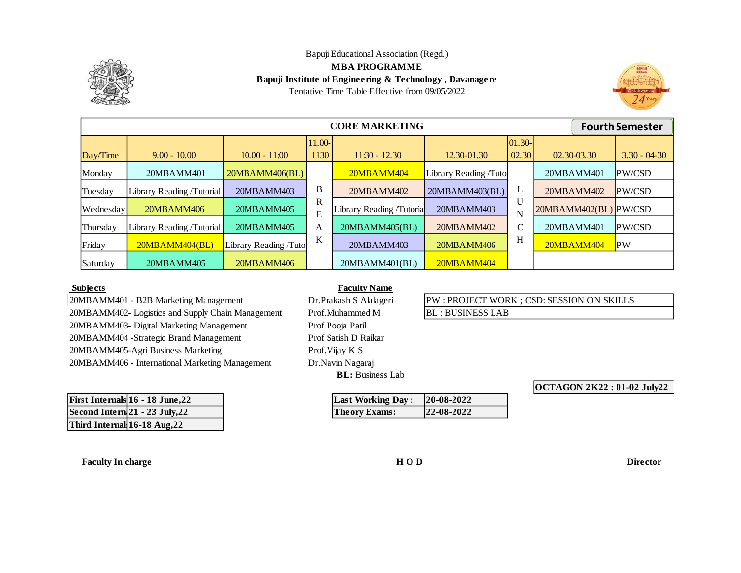

#### Bapuji Educational Association (Regd.) **MBA PROGRAMME Bapuji Institute of Engineering & Technology , Davanagere** Tentative Time Table Effective from 09/05/2022



|           | <b>CORE MARKETING</b><br><b>Fourth Semester</b> |                       |                |                          |                       |                    |                       |                  |  |  |
|-----------|-------------------------------------------------|-----------------------|----------------|--------------------------|-----------------------|--------------------|-----------------------|------------------|--|--|
| Day/Time  | $9.00 - 10.00$                                  | $10.00 - 11:00$       | 11.00-<br>1130 | $11:30 - 12.30$          | 12.30-01.30           | $ 01.30-$<br>02.30 | 02.30-03.30           | $3.30 - 04 - 30$ |  |  |
| Monday    | 20MBAMM401                                      | 20MBAMM406(BL)        |                | 20MBAMM404               | Library Reading /Tuto |                    | 20MBAMM401            | PW/CSD           |  |  |
| Tuesday   | Library Reading /Tutorial                       | 20MBAMM403            | B              | 20MBAMM402               | 20MBAMM403(BL)        | L                  | 20MBAMM402            | PW/CSD           |  |  |
| Wednesday | 20MBAMM406                                      | 20MBAMM405            | R<br>E         | Library Reading /Tutoria | 20MBAMM403            | U<br>N             | 20MBAMM402(BL) PW/CSD |                  |  |  |
| Thursday  | Library Reading /Tutorial                       | 20MBAMM405            | A              | 20MBAMM405(BL)           | 20MBAMM402            | C                  | 20MBAMM401            | PW/CSD           |  |  |
| Friday    | 20MBAMM404(BL)                                  | Library Reading /Tuto | K              | 20MBAMM403               | 20MBAMM406            | Н                  | 20MBAMM404            | <b>PW</b>        |  |  |
| Saturday  | 20MBAMM405                                      | 20MBAMM406            |                | 20MBAMM401(BL)           | 20MBAMM404            |                    |                       |                  |  |  |

#### **Subjects**

20MBAMM401 - B2B Marketing Management 20MBAMM403- Digital Marketing Management 20MBAMM404 -Strategic Brand Management 20MBAMM406 - International Marketing Management 20MBAMM405-Agri Business Marketing Prof. Vijay K S 20MBAMM402- Logistics and Supply Chain Management Prof. Muhammed M BL : BUSINESS LAB

| First Internals $16 - 18$ June, $22$ | <b>Last Working Day:</b> | $ 20-08-2022$ |
|--------------------------------------|--------------------------|---------------|
| Second Intern 21 - 23 July, 22       | <b>Theory Exams:</b>     | $ 22-08-2022$ |
| Third Internal 16-18 Aug, 22         |                          |               |

**Faculty In charge H O D Director**

## **Faculty Name**

**BL:** Business Lab Prof Satish D Raikar Dr.Navin Nagaraj Prof.Muhammed M Prof Pooja Patil

| <b>Last Working Day:</b> | 20-08-2022 |
|--------------------------|------------|
| <b>Theory Exams:</b>     | 22-08-2022 |

# Dr.Prakash S Alalageri PW : PROJECT WORK ; CSD: SESSION ON SKILLS

**OCTAGON 2K22 : 01-02 July22**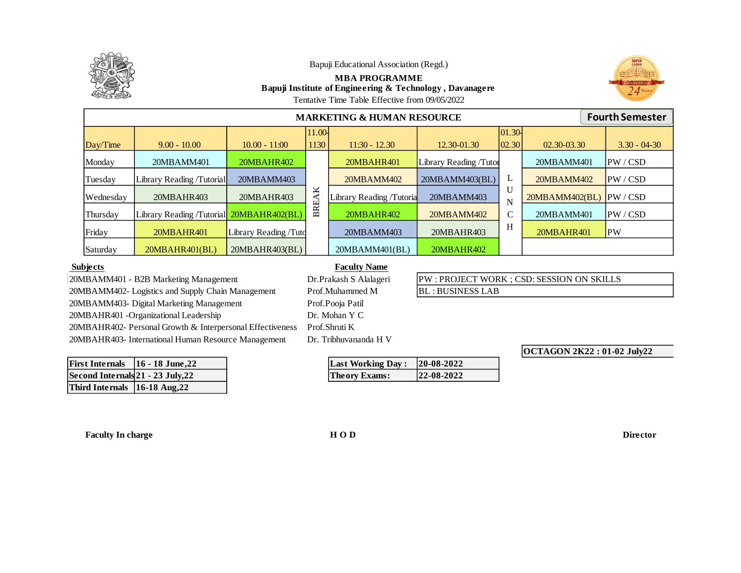

## **MBA PROGRAMME Bapuji Institute of Engineering & Technology , Davanagere**



Tentative Time Table Effective from 09/05/2022

| <b>MARKETING &amp; HUMAN RESOURCE</b> |                                          |                       |        |                          |                        |              |                 | <b>Fourth Semester</b> |                  |
|---------------------------------------|------------------------------------------|-----------------------|--------|--------------------------|------------------------|--------------|-----------------|------------------------|------------------|
|                                       |                                          |                       | 11.00- |                          |                        | 01.30        |                 |                        |                  |
| Day/Time                              | $9.00 - 10.00$                           | $10.00 - 11:00$       | 1130   | $11:30 - 12.30$          | 12.30-01.30            | 02.30        | $02.30 - 03.30$ |                        | $3.30 - 04 - 30$ |
| Monday                                | 20MBAMM401                               | 20MBAHR402            |        | 20MBAHR401               | Library Reading /Tutor |              | 20MBAMM401      |                        | IPW / CSD        |
| Tuesday                               | Library Reading /Tutorial                | 20MBAMM403            |        | 20MBAMM402               | 20MBAMM403(BL)         | ┻            | 20MBAMM402      |                        | PW / CSD         |
| Wednesday                             | 20MBAHR403                               | 20MBAHR403            | ×<br>∢ | Library Reading /Tutoria | 20MBAMM403             | U<br>N       | 20MBAMM402(BL)  |                        | PW / CSD         |
| Thursday                              | Library Reading /Tutorial 20MBAHR402(BL) |                       | BRE.   | 20MBAHR402               | 20MBAMM402             | $\mathsf{C}$ | 20MBAMM401      |                        | PW / CSD         |
| Friday                                | 20MBAHR401                               | Library Reading /Tuto |        | 20MBAMM403               | 20MBAHR403             | Н            | 20MBAHR401      |                        | <b>PW</b>        |
| Saturday                              | 20MBAHR401(BL)                           | 20MBAHR403(BL)        |        | 20MBAMM401(BL)           | 20MBAHR402             |              |                 |                        |                  |

#### **Subjects**

20MBAMM401 - B2B Marketing Management 20MBAMM403- Digital Marketing Management 20MBAHR401 -Organizational Leadership 20MBAHR402- Personal Growth & Interpersonal Effectiveness 20MBAHR403- International Human Resource Management Dr. Tribhuvananda H V 20MBAMM402- Logistics and Supply Chain Management Prof.Muhammed M

| First Internals   16 - 18 June, 22 |  |
|------------------------------------|--|
| Second Internals 21 - 23 July, 22  |  |
| Third Internals 16-18 Aug, 22      |  |

#### **Faculty Name**

**Last Working Day :** 20-08-2022 **Second Integrals Properties 22-08-2022** 

Prof.Shruti K Dr. Mohan Y C Dr.Prakash S Alalageri Prof.Pooja Patil

BL : BUSINESS LAB

PW : PROJECT WORK ; CSD: SESSION ON SKILLS

**OCTAGON 2K22 : 01-02 July22**

**Faculty In charge H O D Director**